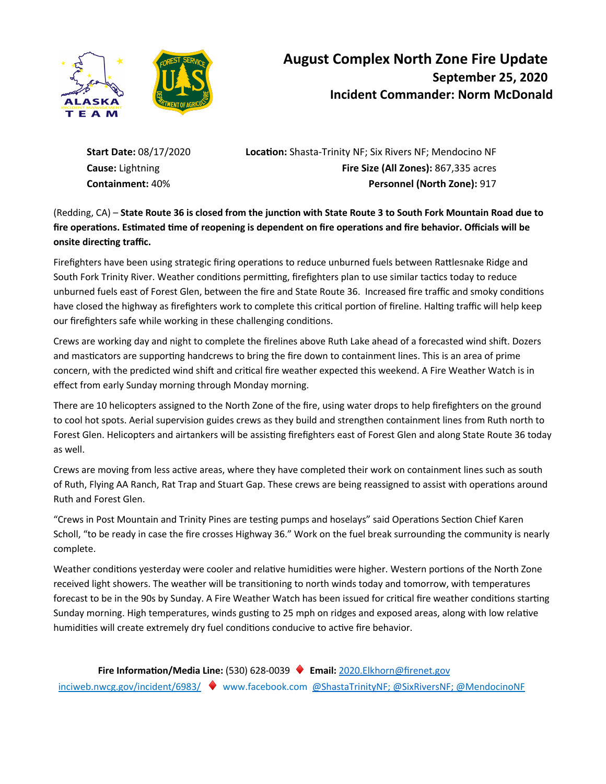

# **August Complex North Zone Fire Update September 25, 2020 Incident Commander: Norm McDonald**

**Start Date: 08/17/2020 <b>Location:** Shasta-Trinity NF; Six Rivers NF; Mendocino NF **Cause:** Lightning **Fire Size (All Zones):** 867,335 acres **Containment:** 40% **Personnel (North Zone):** 917

(Redding, CA) – State Route 36 is closed from the junction with State Route 3 to South Fork Mountain Road due to fire operations. Estimated time of reopening is dependent on fire operations and fire behavior. Officials will be **onsite directing traffic.** 

Firefighters have been using strategic firing operations to reduce unburned fuels between Rattlesnake Ridge and South Fork Trinity River. Weather conditions permitting, firefighters plan to use similar tactics today to reduce unburned fuels east of Forest Glen, between the fire and State Route 36. Increased fire traffic and smoky conditions have closed the highway as firefighters work to complete this critical portion of fireline. Halting traffic will help keep our firefighters safe while working in these challenging conditions.

Crews are working day and night to complete the firelines above Ruth Lake ahead of a forecasted wind shift. Dozers and masticators are supporting handcrews to bring the fire down to containment lines. This is an area of prime concern, with the predicted wind shift and critical fire weather expected this weekend. A Fire Weather Watch is in effect from early Sunday morning through Monday morning.

There are 10 helicopters assigned to the North Zone of the fire, using water drops to help firefighters on the ground to cool hot spots. Aerial supervision guides crews as they build and strengthen containment lines from Ruth north to Forest Glen. Helicopters and airtankers will be assisting firefighters east of Forest Glen and along State Route 36 today as well.

Crews are moving from less active areas, where they have completed their work on containment lines such as south of Ruth, Flying AA Ranch, Rat Trap and Stuart Gap. These crews are being reassigned to assist with operations around Ruth and Forest Glen.

"Crews in Post Mountain and Trinity Pines are testing pumps and hoselays" said Operations Section Chief Karen Scholl, "to be ready in case the fire crosses Highway 36." Work on the fuel break surrounding the community is nearly complete.

Weather conditions yesterday were cooler and relative humidities were higher. Western portions of the North Zone received light showers. The weather will be transitioning to north winds today and tomorrow, with temperatures forecast to be in the 90s by Sunday. A Fire Weather Watch has been issued for critical fire weather conditions starting Sunday morning. High temperatures, winds gusting to 25 mph on ridges and exposed areas, along with low relative humidities will create extremely dry fuel conditions conducive to active fire behavior.